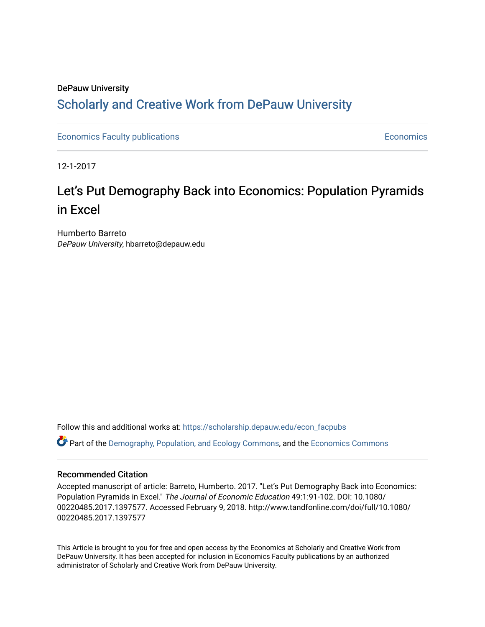# DePauw University Scholarly and [Creative Work from DePauw Univ](https://scholarship.depauw.edu/)ersity

**[Economics Faculty publications](https://scholarship.depauw.edu/econ_facpubs) Economics** [Economics](https://scholarship.depauw.edu/economics) Economics **Economics** 

12-1-2017

# Let's Put Demography Back into Economics: Population Pyramids in Excel

Humberto Barreto DePauw University, hbarreto@depauw.edu

Follow this and additional works at: [https://scholarship.depauw.edu/econ\\_facpubs](https://scholarship.depauw.edu/econ_facpubs?utm_source=scholarship.depauw.edu%2Fecon_facpubs%2F1&utm_medium=PDF&utm_campaign=PDFCoverPages) Part of the [Demography, Population, and Ecology Commons,](https://network.bepress.com/hgg/discipline/418?utm_source=scholarship.depauw.edu%2Fecon_facpubs%2F1&utm_medium=PDF&utm_campaign=PDFCoverPages) and the [Economics Commons](https://network.bepress.com/hgg/discipline/340?utm_source=scholarship.depauw.edu%2Fecon_facpubs%2F1&utm_medium=PDF&utm_campaign=PDFCoverPages) 

# Recommended Citation

Accepted manuscript of article: Barreto, Humberto. 2017. "Let's Put Demography Back into Economics: Population Pyramids in Excel." The Journal of Economic Education 49:1:91-102. DOI: 10.1080/ 00220485.2017.1397577. Accessed February 9, 2018. http://www.tandfonline.com/doi/full/10.1080/ 00220485.2017.1397577

This Article is brought to you for free and open access by the Economics at Scholarly and Creative Work from DePauw University. It has been accepted for inclusion in Economics Faculty publications by an authorized administrator of Scholarly and Creative Work from DePauw University.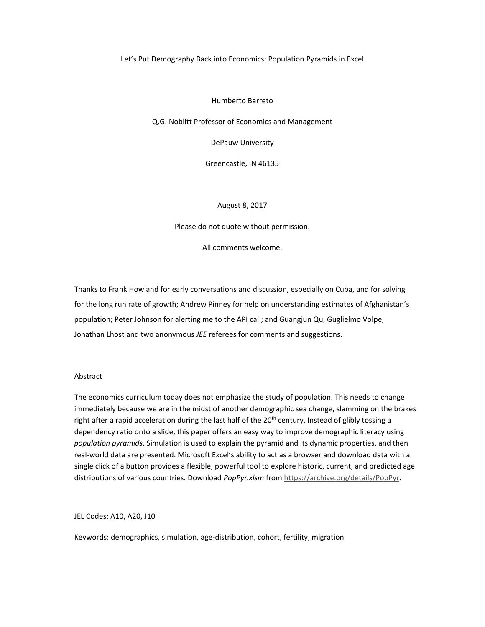#### Let's Put Demography Back into Economics: Population Pyramids in Excel

#### Humberto Barreto

Q.G. Noblitt Professor of Economics and Management

DePauw University

Greencastle, IN 46135

# August 8, 2017

Please do not quote without permission.

All comments welcome.

Thanks to Frank Howland for early conversations and discussion, especially on Cuba, and for solving for the long run rate of growth; Andrew Pinney for help on understanding estimates of Afghanistan's population; Peter Johnson for alerting me to the API call; and Guangjun Qu, Guglielmo Volpe, Jonathan Lhost and two anonymous *JEE* referees for comments and suggestions.

#### Abstract

The economics curriculum today does not emphasize the study of population. This needs to change immediately because we are in the midst of another demographic sea change, slamming on the brakes right after a rapid acceleration during the last half of the 20<sup>th</sup> century. Instead of glibly tossing a dependency ratio onto a slide, this paper offers an easy way to improve demographic literacy using *population pyramids*. Simulation is used to explain the pyramid and its dynamic properties, and then real‐world data are presented. Microsoft Excel's ability to act as a browser and download data with a single click of a button provides a flexible, powerful tool to explore historic, current, and predicted age distributions of various countries. Download *PopPyr.xlsm* from https://archive.org/details/PopPyr.

JEL Codes: A10, A20, J10

Keywords: demographics, simulation, age‐distribution, cohort, fertility, migration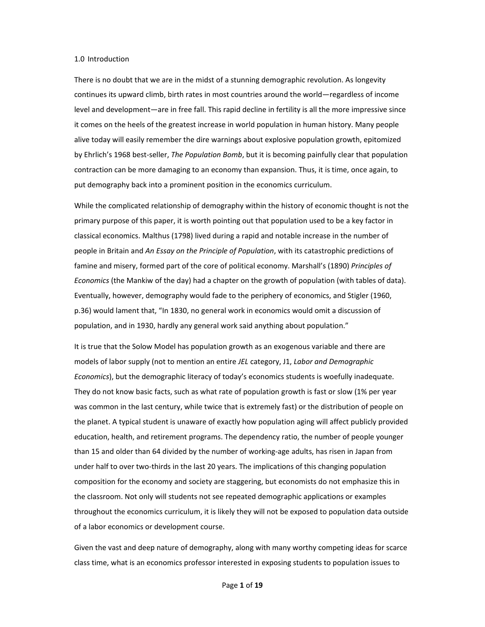#### 1.0 Introduction

There is no doubt that we are in the midst of a stunning demographic revolution. As longevity continues its upward climb, birth rates in most countries around the world—regardless of income level and development—are in free fall. This rapid decline in fertility is all the more impressive since it comes on the heels of the greatest increase in world population in human history. Many people alive today will easily remember the dire warnings about explosive population growth, epitomized by Ehrlich's 1968 best‐seller, *The Population Bomb*, but it is becoming painfully clear that population contraction can be more damaging to an economy than expansion. Thus, it is time, once again, to put demography back into a prominent position in the economics curriculum.

While the complicated relationship of demography within the history of economic thought is not the primary purpose of this paper, it is worth pointing out that population used to be a key factor in classical economics. Malthus (1798) lived during a rapid and notable increase in the number of people in Britain and *An Essay on the Principle of Population*, with its catastrophic predictions of famine and misery, formed part of the core of political economy. Marshall's (1890) *Principles of Economics* (the Mankiw of the day) had a chapter on the growth of population (with tables of data). Eventually, however, demography would fade to the periphery of economics, and Stigler (1960, p.36) would lament that, "In 1830, no general work in economics would omit a discussion of population, and in 1930, hardly any general work said anything about population."

It is true that the Solow Model has population growth as an exogenous variable and there are models of labor supply (not to mention an entire *JEL* category, J1, *Labor and Demographic Economics*), but the demographic literacy of today's economics students is woefully inadequate. They do not know basic facts, such as what rate of population growth is fast or slow (1% per year was common in the last century, while twice that is extremely fast) or the distribution of people on the planet. A typical student is unaware of exactly how population aging will affect publicly provided education, health, and retirement programs. The dependency ratio, the number of people younger than 15 and older than 64 divided by the number of working‐age adults, has risen in Japan from under half to over two-thirds in the last 20 years. The implications of this changing population composition for the economy and society are staggering, but economists do not emphasize this in the classroom. Not only will students not see repeated demographic applications or examples throughout the economics curriculum, it is likely they will not be exposed to population data outside of a labor economics or development course.

Given the vast and deep nature of demography, along with many worthy competing ideas for scarce class time, what is an economics professor interested in exposing students to population issues to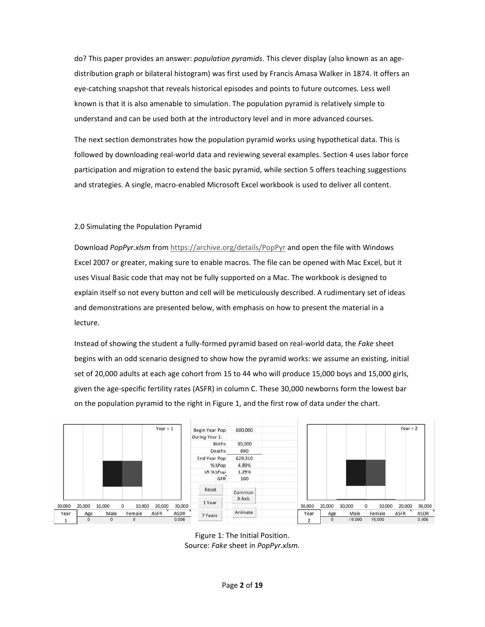do? This paper provides an answer: *population pyramids*. This clever display (also known as an age‐ distribution graph or bilateral histogram) was first used by Francis Amasa Walker in 1874. It offers an eye‐catching snapshot that reveals historical episodes and points to future outcomes. Less well known is that it is also amenable to simulation. The population pyramid is relatively simple to understand and can be used both at the introductory level and in more advanced courses.

The next section demonstrates how the population pyramid works using hypothetical data. This is followed by downloading real‐world data and reviewing several examples. Section 4 uses labor force participation and migration to extend the basic pyramid, while section 5 offers teaching suggestions and strategies. A single, macro‐enabled Microsoft Excel workbook is used to deliver all content.

# 2.0 Simulating the Population Pyramid

Download *PopPyr.xlsm* from https://archive.org/details/PopPyr and open the file with Windows Excel 2007 or greater, making sure to enable macros. The file can be opened with Mac Excel, but it uses Visual Basic code that may not be fully supported on a Mac. The workbook is designed to explain itself so not every button and cell will be meticulously described. A rudimentary set of ideas and demonstrations are presented below, with emphasis on how to present the material in a lecture.

Instead of showing the student a fully‐formed pyramid based on real‐world data, the *Fake* sheet begins with an odd scenario designed to show how the pyramid works: we assume an existing, initial set of 20,000 adults at each age cohort from 15 to 44 who will produce 15,000 boys and 15,000 girls, given the age‐specific fertility rates (ASFR) in column C. These 30,000 newborns form the lowest bar on the population pyramid to the right in Figure 1, and the first row of data under the chart.



Figure 1: The Initial Position. Source: *Fake* sheet in *PopPyr.xlsm.*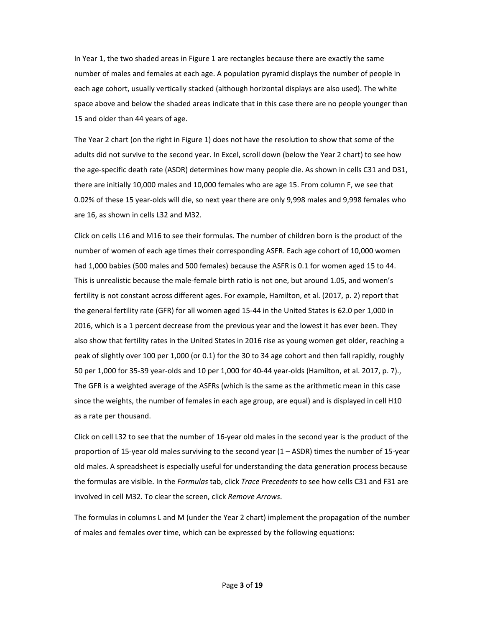In Year 1, the two shaded areas in Figure 1 are rectangles because there are exactly the same number of males and females at each age. A population pyramid displays the number of people in each age cohort, usually vertically stacked (although horizontal displays are also used). The white space above and below the shaded areas indicate that in this case there are no people younger than 15 and older than 44 years of age.

The Year 2 chart (on the right in Figure 1) does not have the resolution to show that some of the adults did not survive to the second year. In Excel, scroll down (below the Year 2 chart) to see how the age‐specific death rate (ASDR) determines how many people die. As shown in cells C31 and D31, there are initially 10,000 males and 10,000 females who are age 15. From column F, we see that 0.02% of these 15 year‐olds will die, so next year there are only 9,998 males and 9,998 females who are 16, as shown in cells L32 and M32.

Click on cells L16 and M16 to see their formulas. The number of children born is the product of the number of women of each age times their corresponding ASFR. Each age cohort of 10,000 women had 1,000 babies (500 males and 500 females) because the ASFR is 0.1 for women aged 15 to 44. This is unrealistic because the male‐female birth ratio is not one, but around 1.05, and women's fertility is not constant across different ages. For example, Hamilton, et al. (2017, p. 2) report that the general fertility rate (GFR) for all women aged 15‐44 in the United States is 62.0 per 1,000 in 2016, which is a 1 percent decrease from the previous year and the lowest it has ever been. They also show that fertility rates in the United States in 2016 rise as young women get older, reaching a peak of slightly over 100 per 1,000 (or 0.1) for the 30 to 34 age cohort and then fall rapidly, roughly 50 per 1,000 for 35‐39 year‐olds and 10 per 1,000 for 40‐44 year‐olds (Hamilton, et al. 2017, p. 7)., The GFR is a weighted average of the ASFRs (which is the same as the arithmetic mean in this case since the weights, the number of females in each age group, are equal) and is displayed in cell H10 as a rate per thousand.

Click on cell L32 to see that the number of 16‐year old males in the second year is the product of the proportion of 15‐year old males surviving to the second year (1 – ASDR) times the number of 15‐year old males. A spreadsheet is especially useful for understanding the data generation process because the formulas are visible. In the *Formulas* tab, click *Trace Precedents* to see how cells C31 and F31 are involved in cell M32. To clear the screen, click *Remove Arrows*.

The formulas in columns L and M (under the Year 2 chart) implement the propagation of the number of males and females over time, which can be expressed by the following equations: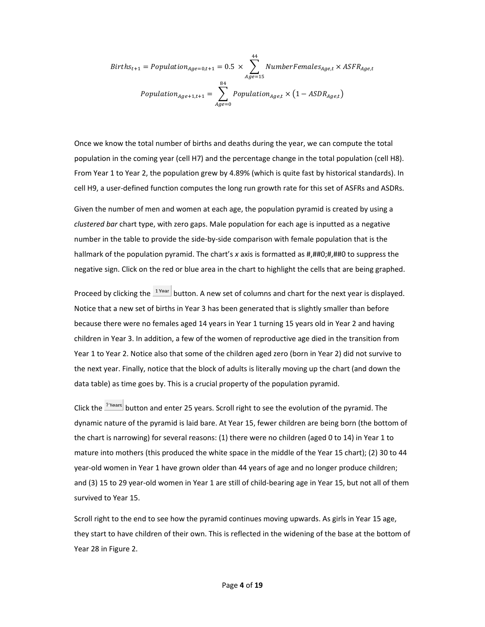$$
Births_{t+1} = Population_{Age=0,t+1} = 0.5 \times \sum_{Age=15}^{44} NumberFemales_{Age,t} \times ASFR_{Age,t}
$$

$$
Population_{Age+1,t+1} = \sum_{Age=0}^{84} Population_{Age,t} \times (1 - ASDR_{Age,t})
$$

Once we know the total number of births and deaths during the year, we can compute the total population in the coming year (cell H7) and the percentage change in the total population (cell H8). From Year 1 to Year 2, the population grew by 4.89% (which is quite fast by historical standards). In cell H9, a user‐defined function computes the long run growth rate for this set of ASFRs and ASDRs.

Given the number of men and women at each age, the population pyramid is created by using a *clustered bar* chart type, with zero gaps. Male population for each age is inputted as a negative number in the table to provide the side‐by‐side comparison with female population that is the hallmark of the population pyramid. The chart's *x* axis is formatted as #,##0;#,##0 to suppress the negative sign. Click on the red or blue area in the chart to highlight the cells that are being graphed.

Proceed by clicking the  $\frac{1 \text{ year}}{2}$  button. A new set of columns and chart for the next year is displayed. Notice that a new set of births in Year 3 has been generated that is slightly smaller than before because there were no females aged 14 years in Year 1 turning 15 years old in Year 2 and having children in Year 3. In addition, a few of the women of reproductive age died in the transition from Year 1 to Year 2. Notice also that some of the children aged zero (born in Year 2) did not survive to the next year. Finally, notice that the block of adults is literally moving up the chart (and down the data table) as time goes by. This is a crucial property of the population pyramid.

Click the **Place of the Intermand enter 25 years.** Scroll right to see the evolution of the pyramid. The dynamic nature of the pyramid is laid bare. At Year 15, fewer children are being born (the bottom of the chart is narrowing) for several reasons: (1) there were no children (aged 0 to 14) in Year 1 to mature into mothers (this produced the white space in the middle of the Year 15 chart); (2) 30 to 44 year-old women in Year 1 have grown older than 44 years of age and no longer produce children; and (3) 15 to 29 year‐old women in Year 1 are still of child‐bearing age in Year 15, but not all of them survived to Year 15.

Scroll right to the end to see how the pyramid continues moving upwards. As girls in Year 15 age, they start to have children of their own. This is reflected in the widening of the base at the bottom of Year 28 in Figure 2.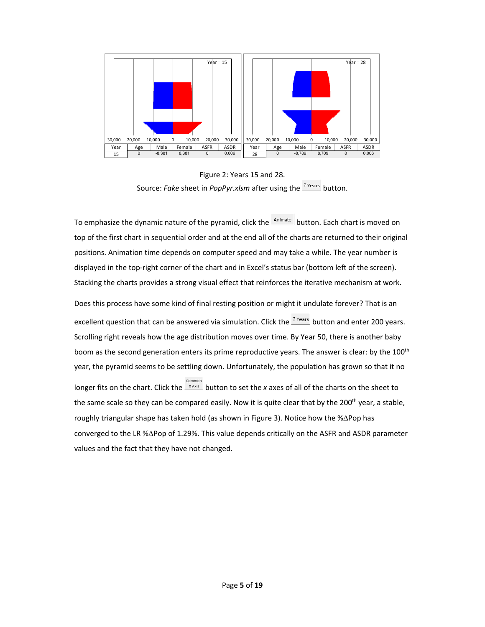

Figure 2: Years 15 and 28. Source: *Fake* sheet in *PopPyr.xlsm* after using the <sup>? Years</sup> button.

To emphasize the dynamic nature of the pyramid, click the **Animate** button. Each chart is moved on top of the first chart in sequential order and at the end all of the charts are returned to their original positions. Animation time depends on computer speed and may take a while. The year number is displayed in the top-right corner of the chart and in Excel's status bar (bottom left of the screen). Stacking the charts provides a strong visual effect that reinforces the iterative mechanism at work.

Does this process have some kind of final resting position or might it undulate forever? That is an excellent question that can be answered via simulation. Click the **Prears** button and enter 200 years. Scrolling right reveals how the age distribution moves over time. By Year 50, there is another baby boom as the second generation enters its prime reproductive years. The answer is clear: by the 100<sup>th</sup> year, the pyramid seems to be settling down. Unfortunately, the population has grown so that it no longer fits on the chart. Click the **x** axis button to set the *x* axes of all of the charts on the sheet to the same scale so they can be compared easily. Now it is quite clear that by the 200<sup>th</sup> year, a stable, roughly triangular shape has taken hold (as shown in Figure 3). Notice how the % $\Delta$ Pop has converged to the LR % $\triangle$ Pop of 1.29%. This value depends critically on the ASFR and ASDR parameter values and the fact that they have not changed.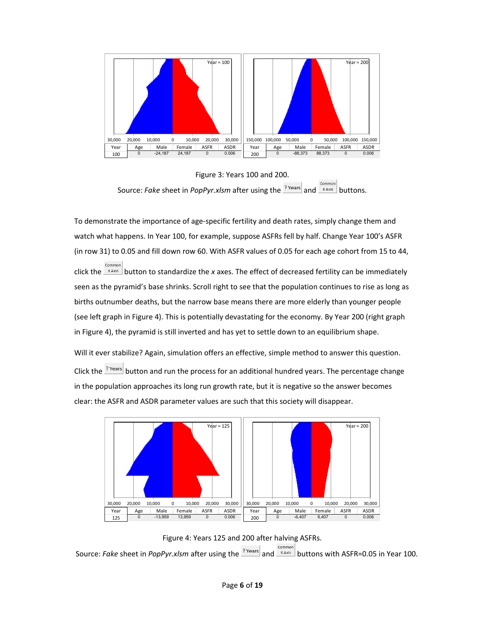

Figure 3: Years 100 and 200. Common Source: *Fake* sheet in *PopPyr.xlsm* after using the <sup>? Years</sup> and  $\frac{\text{common}}{\text{x-axis}}$  buttons.

To demonstrate the importance of age‐specific fertility and death rates, simply change them and watch what happens. In Year 100, for example, suppose ASFRs fell by half. Change Year 100's ASFR (in row 31) to 0.05 and fill down row 60. With ASFR values of 0.05 for each age cohort from 15 to 44, click the **EXAXIS** button to standardize the *x* axes. The effect of decreased fertility can be immediately seen as the pyramid's base shrinks. Scroll right to see that the population continues to rise as long as births outnumber deaths, but the narrow base means there are more elderly than younger people (see left graph in Figure 4). This is potentially devastating for the economy. By Year 200 (right graph in Figure 4), the pyramid is still inverted and has yet to settle down to an equilibrium shape.

Will it ever stabilize? Again, simulation offers an effective, simple method to answer this question. Click the <sup>Prears</sup> button and run the process for an additional hundred years. The percentage change in the population approaches its long run growth rate, but it is negative so the answer becomes clear: the ASFR and ASDR parameter values are such that this society will disappear.



Figure 4: Years 125 and 200 after halving ASFRs. Source: *Fake* sheet in *PopPyr.xlsm* after using the <sup>? Years</sup> and **Electional puttons with ASFR=0.05** in Year 100.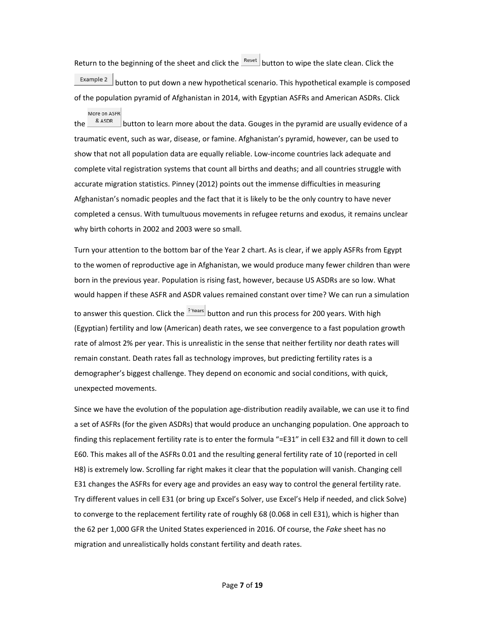Return to the beginning of the sheet and click the  $\frac{\text{Reset}}{\text{B}}$  button to wipe the slate clean. Click the  $\frac{Example 2}{Example 2}$  button to put down a new hypothetical scenario. This hypothetical example is composed of the population pyramid of Afghanistan in 2014, with Egyptian ASFRs and American ASDRs. Click

More on ASFR the  $\frac{\&}{}$   $\frac{\&}{}$  aspreed button to learn more about the data. Gouges in the pyramid are usually evidence of a traumatic event, such as war, disease, or famine. Afghanistan's pyramid, however, can be used to show that not all population data are equally reliable. Low-income countries lack adequate and complete vital registration systems that count all births and deaths; and all countries struggle with accurate migration statistics. Pinney (2012) points out the immense difficulties in measuring Afghanistan's nomadic peoples and the fact that it is likely to be the only country to have never completed a census. With tumultuous movements in refugee returns and exodus, it remains unclear why birth cohorts in 2002 and 2003 were so small.

Turn your attention to the bottom bar of the Year 2 chart. As is clear, if we apply ASFRs from Egypt to the women of reproductive age in Afghanistan, we would produce many fewer children than were born in the previous year. Population is rising fast, however, because US ASDRs are so low. What would happen if these ASFR and ASDR values remained constant over time? We can run a simulation to answer this question. Click the **Preams** button and run this process for 200 years. With high (Egyptian) fertility and low (American) death rates, we see convergence to a fast population growth rate of almost 2% per year. This is unrealistic in the sense that neither fertility nor death rates will remain constant. Death rates fall as technology improves, but predicting fertility rates is a demographer's biggest challenge. They depend on economic and social conditions, with quick, unexpected movements.

Since we have the evolution of the population age‐distribution readily available, we can use it to find a set of ASFRs (for the given ASDRs) that would produce an unchanging population. One approach to finding this replacement fertility rate is to enter the formula "=E31" in cell E32 and fill it down to cell E60. This makes all of the ASFRs 0.01 and the resulting general fertility rate of 10 (reported in cell H8) is extremely low. Scrolling far right makes it clear that the population will vanish. Changing cell E31 changes the ASFRs for every age and provides an easy way to control the general fertility rate. Try different values in cell E31 (or bring up Excel's Solver, use Excel's Help if needed, and click Solve) to converge to the replacement fertility rate of roughly 68 (0.068 in cell E31), which is higher than the 62 per 1,000 GFR the United States experienced in 2016. Of course, the *Fake* sheet has no migration and unrealistically holds constant fertility and death rates.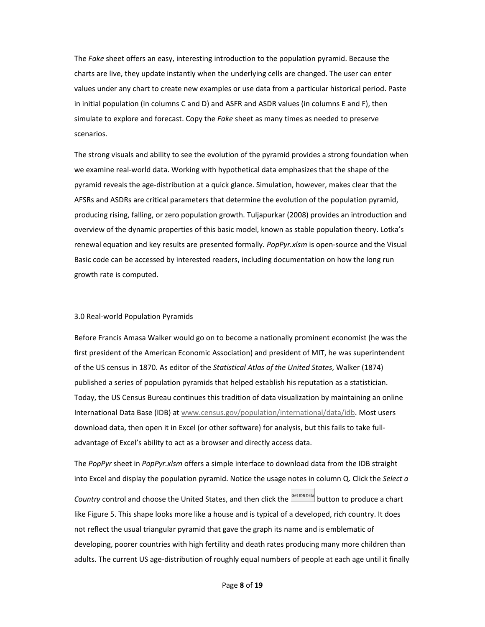The *Fake* sheet offers an easy, interesting introduction to the population pyramid. Because the charts are live, they update instantly when the underlying cells are changed. The user can enter values under any chart to create new examples or use data from a particular historical period. Paste in initial population (in columns C and D) and ASFR and ASDR values (in columns E and F), then simulate to explore and forecast. Copy the *Fake* sheet as many times as needed to preserve scenarios.

The strong visuals and ability to see the evolution of the pyramid provides a strong foundation when we examine real‐world data. Working with hypothetical data emphasizes that the shape of the pyramid reveals the age‐distribution at a quick glance. Simulation, however, makes clear that the AFSRs and ASDRs are critical parameters that determine the evolution of the population pyramid, producing rising, falling, or zero population growth. Tuljapurkar (2008) provides an introduction and overview of the dynamic properties of this basic model, known as stable population theory. Lotka's renewal equation and key results are presented formally. *PopPyr.xlsm* is open‐source and the Visual Basic code can be accessed by interested readers, including documentation on how the long run growth rate is computed.

#### 3.0 Real‐world Population Pyramids

Before Francis Amasa Walker would go on to become a nationally prominent economist (he was the first president of the American Economic Association) and president of MIT, he was superintendent of the US census in 1870. As editor of the *Statistical Atlas of the United States*, Walker (1874) published a series of population pyramids that helped establish his reputation as a statistician. Today, the US Census Bureau continues this tradition of data visualization by maintaining an online International Data Base (IDB) at www.census.gov/population/international/data/idb. Most users download data, then open it in Excel (or other software) for analysis, but this fails to take full‐ advantage of Excel's ability to act as a browser and directly access data.

The *PopPyr* sheet in *PopPyr.xlsm* offers a simple interface to download data from the IDB straight into Excel and display the population pyramid. Notice the usage notes in column Q. Click the *Select a Country* control and choose the United States, and then click the **Set IDB Data** button to produce a chart like Figure 5. This shape looks more like a house and is typical of a developed, rich country. It does not reflect the usual triangular pyramid that gave the graph its name and is emblematic of developing, poorer countries with high fertility and death rates producing many more children than adults. The current US age‐distribution of roughly equal numbers of people at each age until it finally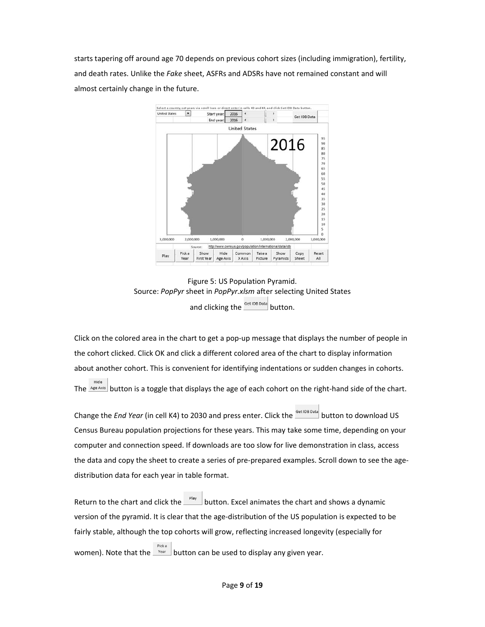starts tapering off around age 70 depends on previous cohort sizes (including immigration), fertility, and death rates. Unlike the *Fake* sheet, ASFRs and ADSRs have not remained constant and will almost certainly change in the future.



Figure 5: US Population Pyramid. Source: *PopPyr* sheet in *PopPyr.xlsm* after selecting United States and clicking the  $\frac{\text{Set IDB Data}}{\text{Button}}$ 

Click on the colored area in the chart to get a pop‐up message that displays the number of people in the cohort clicked. Click OK and click a different colored area of the chart to display information about another cohort. This is convenient for identifying indentations or sudden changes in cohorts. Hide The  $\frac{Age A XIB}{B}$  button is a toggle that displays the age of each cohort on the right-hand side of the chart.

Change the *End Year* (in cell K4) to 2030 and press enter. Click the **SetIDB Data** button to download US Census Bureau population projections for these years. This may take some time, depending on your computer and connection speed. If downloads are too slow for live demonstration in class, access the data and copy the sheet to create a series of pre-prepared examples. Scroll down to see the agedistribution data for each year in table format.

Return to the chart and click the  $\Box$  button. Excel animates the chart and shows a dynamic version of the pyramid. It is clear that the age-distribution of the US population is expected to be fairly stable, although the top cohorts will grow, reflecting increased longevity (especially for women). Note that the  $\frac{1}{2}$  button can be used to display any given year.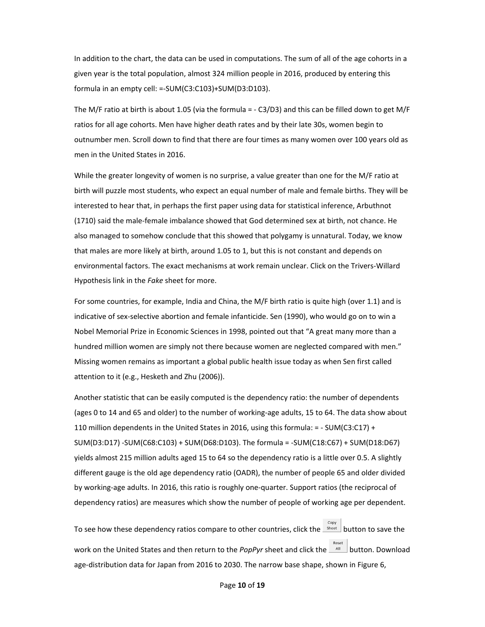In addition to the chart, the data can be used in computations. The sum of all of the age cohorts in a given year is the total population, almost 324 million people in 2016, produced by entering this formula in an empty cell: =‐SUM(C3:C103)+SUM(D3:D103).

The M/F ratio at birth is about 1.05 (via the formula = ‐ C3/D3) and this can be filled down to get M/F ratios for all age cohorts. Men have higher death rates and by their late 30s, women begin to outnumber men. Scroll down to find that there are four times as many women over 100 years old as men in the United States in 2016.

While the greater longevity of women is no surprise, a value greater than one for the M/F ratio at birth will puzzle most students, who expect an equal number of male and female births. They will be interested to hear that, in perhaps the first paper using data for statistical inference, Arbuthnot (1710) said the male‐female imbalance showed that God determined sex at birth, not chance. He also managed to somehow conclude that this showed that polygamy is unnatural. Today, we know that males are more likely at birth, around 1.05 to 1, but this is not constant and depends on environmental factors. The exact mechanisms at work remain unclear. Click on the Trivers‐Willard Hypothesis link in the *Fake* sheet for more.

For some countries, for example, India and China, the M/F birth ratio is quite high (over 1.1) and is indicative of sex‐selective abortion and female infanticide. Sen (1990), who would go on to win a Nobel Memorial Prize in Economic Sciences in 1998, pointed out that "A great many more than a hundred million women are simply not there because women are neglected compared with men." Missing women remains as important a global public health issue today as when Sen first called attention to it (e.g., Hesketh and Zhu (2006)).

Another statistic that can be easily computed is the dependency ratio: the number of dependents (ages 0 to 14 and 65 and older) to the number of working‐age adults, 15 to 64. The data show about 110 million dependents in the United States in 2016, using this formula:  $= -$  SUM(C3:C17) + SUM(D3:D17) ‐SUM(C68:C103) + SUM(D68:D103). The formula = ‐SUM(C18:C67) + SUM(D18:D67) yields almost 215 million adults aged 15 to 64 so the dependency ratio is a little over 0.5. A slightly different gauge is the old age dependency ratio (OADR), the number of people 65 and older divided by working‐age adults. In 2016, this ratio is roughly one‐quarter. Support ratios (the reciprocal of dependency ratios) are measures which show the number of people of working age per dependent.

To see how these dependency ratios compare to other countries, click the  $\frac{1}{\text{Sheet}}$  button to save the work on the United States and then return to the *PopPyr* sheet and click the  $\frac{1}{\sqrt{m}}$  button. Download age-distribution data for Japan from 2016 to 2030. The narrow base shape, shown in Figure 6,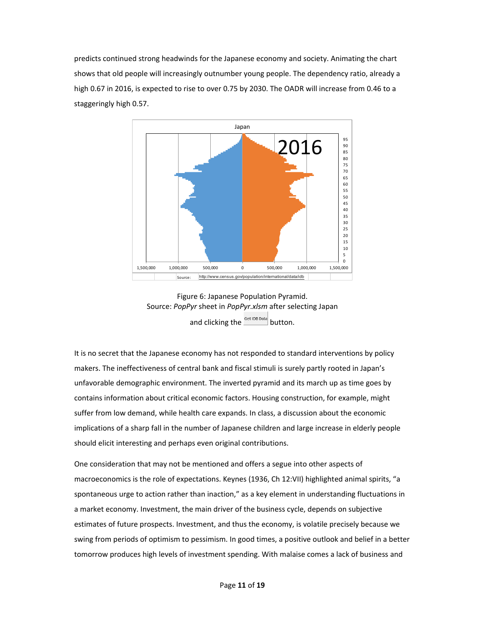predicts continued strong headwinds for the Japanese economy and society. Animating the chart shows that old people will increasingly outnumber young people. The dependency ratio, already a high 0.67 in 2016, is expected to rise to over 0.75 by 2030. The OADR will increase from 0.46 to a staggeringly high 0.57.





It is no secret that the Japanese economy has not responded to standard interventions by policy makers. The ineffectiveness of central bank and fiscal stimuli is surely partly rooted in Japan's unfavorable demographic environment. The inverted pyramid and its march up as time goes by contains information about critical economic factors. Housing construction, for example, might suffer from low demand, while health care expands. In class, a discussion about the economic implications of a sharp fall in the number of Japanese children and large increase in elderly people should elicit interesting and perhaps even original contributions.

One consideration that may not be mentioned and offers a segue into other aspects of macroeconomics is the role of expectations. Keynes (1936, Ch 12:VII) highlighted animal spirits, "a spontaneous urge to action rather than inaction," as a key element in understanding fluctuations in a market economy. Investment, the main driver of the business cycle, depends on subjective estimates of future prospects. Investment, and thus the economy, is volatile precisely because we swing from periods of optimism to pessimism. In good times, a positive outlook and belief in a better tomorrow produces high levels of investment spending. With malaise comes a lack of business and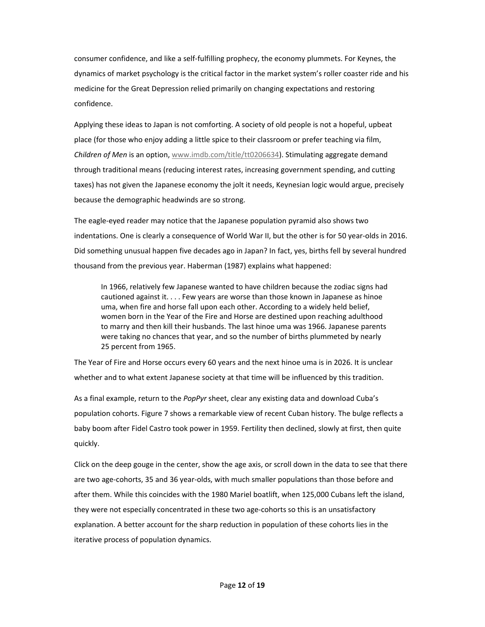consumer confidence, and like a self‐fulfilling prophecy, the economy plummets. For Keynes, the dynamics of market psychology is the critical factor in the market system's roller coaster ride and his medicine for the Great Depression relied primarily on changing expectations and restoring confidence.

Applying these ideas to Japan is not comforting. A society of old people is not a hopeful, upbeat place (for those who enjoy adding a little spice to their classroom or prefer teaching via film, *Children of Men* is an option, www.imdb.com/title/tt0206634). Stimulating aggregate demand through traditional means (reducing interest rates, increasing government spending, and cutting taxes) has not given the Japanese economy the jolt it needs, Keynesian logic would argue, precisely because the demographic headwinds are so strong.

The eagle‐eyed reader may notice that the Japanese population pyramid also shows two indentations. One is clearly a consequence of World War II, but the other is for 50 year‐olds in 2016. Did something unusual happen five decades ago in Japan? In fact, yes, births fell by several hundred thousand from the previous year. Haberman (1987) explains what happened:

In 1966, relatively few Japanese wanted to have children because the zodiac signs had cautioned against it. . . . Few years are worse than those known in Japanese as hinoe uma, when fire and horse fall upon each other. According to a widely held belief, women born in the Year of the Fire and Horse are destined upon reaching adulthood to marry and then kill their husbands. The last hinoe uma was 1966. Japanese parents were taking no chances that year, and so the number of births plummeted by nearly 25 percent from 1965.

The Year of Fire and Horse occurs every 60 years and the next hinoe uma is in 2026. It is unclear whether and to what extent Japanese society at that time will be influenced by this tradition.

As a final example, return to the *PopPyr* sheet, clear any existing data and download Cuba's population cohorts. Figure 7 shows a remarkable view of recent Cuban history. The bulge reflects a baby boom after Fidel Castro took power in 1959. Fertility then declined, slowly at first, then quite quickly.

Click on the deep gouge in the center, show the age axis, or scroll down in the data to see that there are two age‐cohorts, 35 and 36 year‐olds, with much smaller populations than those before and after them. While this coincides with the 1980 Mariel boatlift, when 125,000 Cubans left the island, they were not especially concentrated in these two age‐cohorts so this is an unsatisfactory explanation. A better account for the sharp reduction in population of these cohorts lies in the iterative process of population dynamics.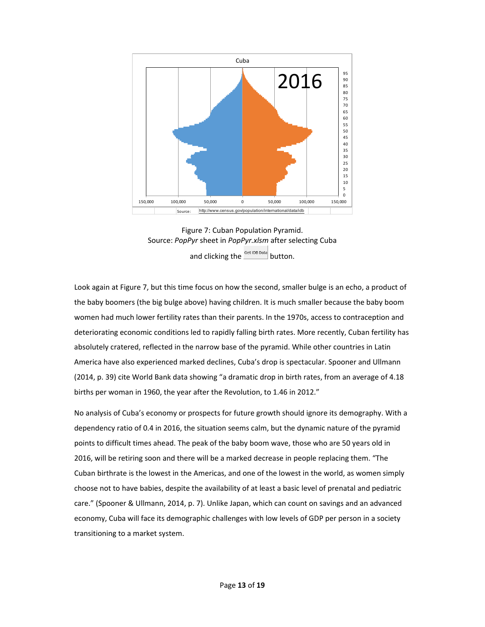

Figure 7: Cuban Population Pyramid. Source: *PopPyr* sheet in *PopPyr.xlsm* after selecting Cuba and clicking the  $\frac{\text{Get IDB Data}}{\text{DeData}}$  button.

Look again at Figure 7, but this time focus on how the second, smaller bulge is an echo, a product of the baby boomers (the big bulge above) having children. It is much smaller because the baby boom women had much lower fertility rates than their parents. In the 1970s, access to contraception and deteriorating economic conditions led to rapidly falling birth rates. More recently, Cuban fertility has absolutely cratered, reflected in the narrow base of the pyramid. While other countries in Latin America have also experienced marked declines, Cuba's drop is spectacular. Spooner and Ullmann (2014, p. 39) cite World Bank data showing "a dramatic drop in birth rates, from an average of 4.18 births per woman in 1960, the year after the Revolution, to 1.46 in 2012."

No analysis of Cuba's economy or prospects for future growth should ignore its demography. With a dependency ratio of 0.4 in 2016, the situation seems calm, but the dynamic nature of the pyramid points to difficult times ahead. The peak of the baby boom wave, those who are 50 years old in 2016, will be retiring soon and there will be a marked decrease in people replacing them. "The Cuban birthrate is the lowest in the Americas, and one of the lowest in the world, as women simply choose not to have babies, despite the availability of at least a basic level of prenatal and pediatric care." (Spooner & Ullmann, 2014, p. 7). Unlike Japan, which can count on savings and an advanced economy, Cuba will face its demographic challenges with low levels of GDP per person in a society transitioning to a market system.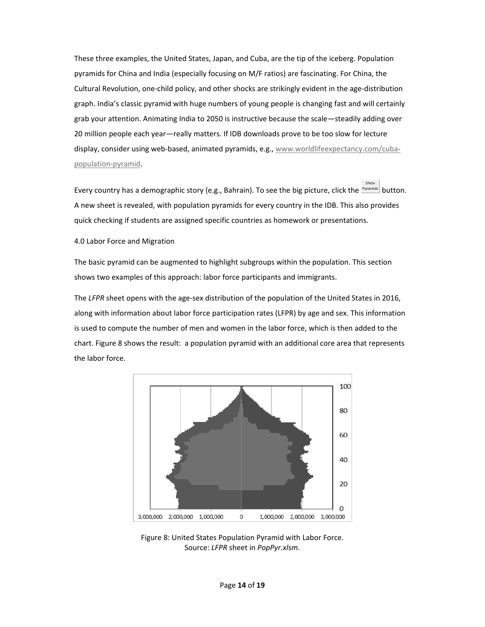These three examples, the United States, Japan, and Cuba, are the tip of the iceberg. Population pyramids for China and India (especially focusing on M/F ratios) are fascinating. For China, the Cultural Revolution, one‐child policy, and other shocks are strikingly evident in the age‐distribution graph. India's classic pyramid with huge numbers of young people is changing fast and will certainly grab your attention. Animating India to 2050 is instructive because the scale—steadily adding over 20 million people each year—really matters. If IDB downloads prove to be too slow for lecture display, consider using web-based, animated pyramids, e.g., www.worldlifeexpectancy.com/cubapopulation‐pyramid.

Show Every country has a demographic story (e.g., Bahrain). To see the big picture, click the *Pyramids* button. A new sheet is revealed, with population pyramids for every country in the IDB. This also provides quick checking if students are assigned specific countries as homework or presentations.

4.0 Labor Force and Migration

The basic pyramid can be augmented to highlight subgroups within the population. This section shows two examples of this approach: labor force participants and immigrants.

The *LFPR* sheet opens with the age‐sex distribution of the population of the United States in 2016, along with information about labor force participation rates (LFPR) by age and sex. This information is used to compute the number of men and women in the labor force, which is then added to the chart. Figure 8 shows the result: a population pyramid with an additional core area that represents the labor force.



Figure 8: United States Population Pyramid with Labor Force. Source: *LFPR* sheet in *PopPyr.xlsm*.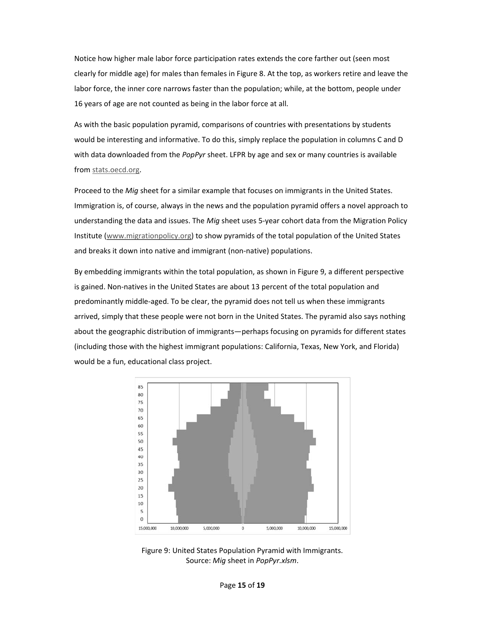Notice how higher male labor force participation rates extends the core farther out (seen most clearly for middle age) for males than females in Figure 8. At the top, as workers retire and leave the labor force, the inner core narrows faster than the population; while, at the bottom, people under 16 years of age are not counted as being in the labor force at all.

As with the basic population pyramid, comparisons of countries with presentations by students would be interesting and informative. To do this, simply replace the population in columns C and D with data downloaded from the *PopPyr* sheet. LFPR by age and sex or many countries is available from stats.oecd.org.

Proceed to the *Mig* sheet for a similar example that focuses on immigrants in the United States. Immigration is, of course, always in the news and the population pyramid offers a novel approach to understanding the data and issues. The *Mig* sheet uses 5‐year cohort data from the Migration Policy Institute (www.migrationpolicy.org) to show pyramids of the total population of the United States and breaks it down into native and immigrant (non‐native) populations.

By embedding immigrants within the total population, as shown in Figure 9, a different perspective is gained. Non‐natives in the United States are about 13 percent of the total population and predominantly middle‐aged. To be clear, the pyramid does not tell us when these immigrants arrived, simply that these people were not born in the United States. The pyramid also says nothing about the geographic distribution of immigrants—perhaps focusing on pyramids for different states (including those with the highest immigrant populations: California, Texas, New York, and Florida) would be a fun, educational class project.



Figure 9: United States Population Pyramid with Immigrants. Source: *Mig* sheet in *PopPyr.xlsm*.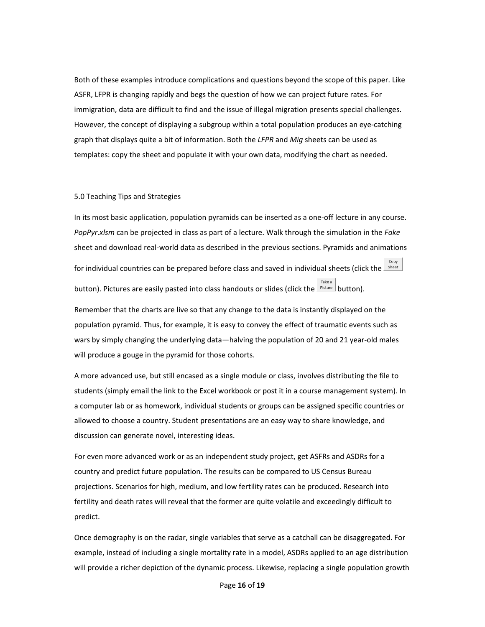Both of these examples introduce complications and questions beyond the scope of this paper. Like ASFR, LFPR is changing rapidly and begs the question of how we can project future rates. For immigration, data are difficult to find and the issue of illegal migration presents special challenges. However, the concept of displaying a subgroup within a total population produces an eye-catching graph that displays quite a bit of information. Both the *LFPR* and *Mig* sheets can be used as templates: copy the sheet and populate it with your own data, modifying the chart as needed.

#### 5.0 Teaching Tips and Strategies

In its most basic application, population pyramids can be inserted as a one-off lecture in any course. *PopPyr.xlsm* can be projected in class as part of a lecture. Walk through the simulation in the *Fake* sheet and download real‐world data as described in the previous sections. Pyramids and animations for individual countries can be prepared before class and saved in individual sheets (click the *Sheet* Take a button). Pictures are easily pasted into class handouts or slides (click the  $\frac{p_{\text{icture}}}{p_{\text{toture}}}\$ button).

Remember that the charts are live so that any change to the data is instantly displayed on the population pyramid. Thus, for example, it is easy to convey the effect of traumatic events such as wars by simply changing the underlying data—halving the population of 20 and 21 year‐old males will produce a gouge in the pyramid for those cohorts.

A more advanced use, but still encased as a single module or class, involves distributing the file to students (simply email the link to the Excel workbook or post it in a course management system). In a computer lab or as homework, individual students or groups can be assigned specific countries or allowed to choose a country. Student presentations are an easy way to share knowledge, and discussion can generate novel, interesting ideas.

For even more advanced work or as an independent study project, get ASFRs and ASDRs for a country and predict future population. The results can be compared to US Census Bureau projections. Scenarios for high, medium, and low fertility rates can be produced. Research into fertility and death rates will reveal that the former are quite volatile and exceedingly difficult to predict.

Once demography is on the radar, single variables that serve as a catchall can be disaggregated. For example, instead of including a single mortality rate in a model, ASDRs applied to an age distribution will provide a richer depiction of the dynamic process. Likewise, replacing a single population growth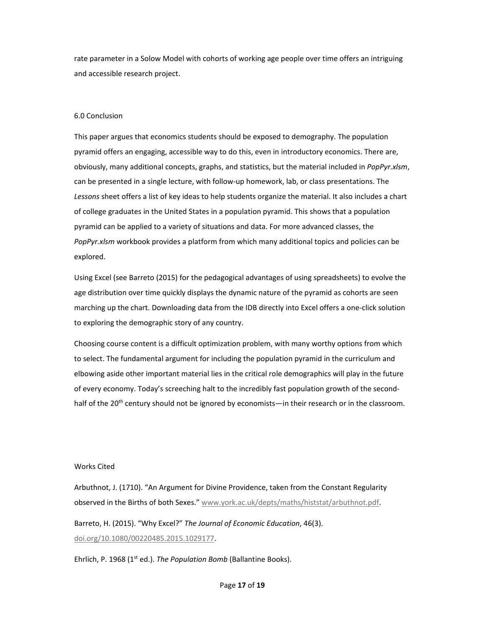rate parameter in a Solow Model with cohorts of working age people over time offers an intriguing and accessible research project.

# 6.0 Conclusion

This paper argues that economics students should be exposed to demography. The population pyramid offers an engaging, accessible way to do this, even in introductory economics. There are, obviously, many additional concepts, graphs, and statistics, but the material included in *PopPyr.xlsm*, can be presented in a single lecture, with follow‐up homework, lab, or class presentations. The *Lessons* sheet offers a list of key ideas to help students organize the material. It also includes a chart of college graduates in the United States in a population pyramid. This shows that a population pyramid can be applied to a variety of situations and data. For more advanced classes, the *PopPyr.xlsm* workbook provides a platform from which many additional topics and policies can be explored.

Using Excel (see Barreto (2015) for the pedagogical advantages of using spreadsheets) to evolve the age distribution over time quickly displays the dynamic nature of the pyramid as cohorts are seen marching up the chart. Downloading data from the IDB directly into Excel offers a one‐click solution to exploring the demographic story of any country.

Choosing course content is a difficult optimization problem, with many worthy options from which to select. The fundamental argument for including the population pyramid in the curriculum and elbowing aside other important material lies in the critical role demographics will play in the future of every economy. Today's screeching halt to the incredibly fast population growth of the second‐ half of the 20<sup>th</sup> century should not be ignored by economists—in their research or in the classroom.

# Works Cited

Arbuthnot, J. (1710). "An Argument for Divine Providence, taken from the Constant Regularity observed in the Births of both Sexes." www.york.ac.uk/depts/maths/histstat/arbuthnot.pdf.

Barreto, H. (2015). "Why Excel?" *The Journal of Economic Education*, 46(3). doi.org/10.1080/00220485.2015.1029177.

Ehrlich, P. 1968 (1<sup>st</sup> ed.). *The Population Bomb* (Ballantine Books).